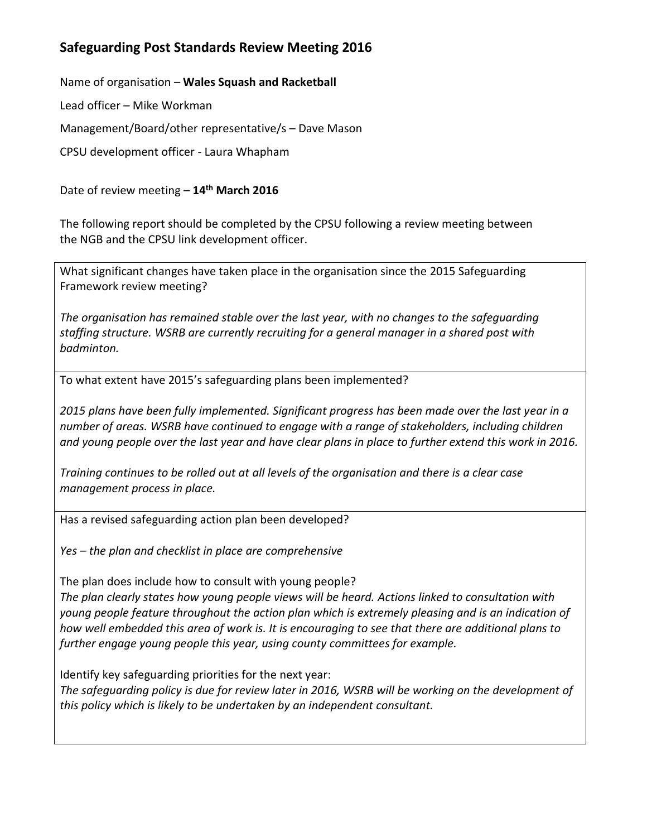## **Safeguarding Post Standards Review Meeting 2016**

Name of organisation – **Wales Squash and Racketball** 

Lead officer – Mike Workman

Management/Board/other representative/s – Dave Mason

CPSU development officer - Laura Whapham

Date of review meeting – **14th March 2016**

The following report should be completed by the CPSU following a review meeting between the NGB and the CPSU link development officer.

What significant changes have taken place in the organisation since the 2015 Safeguarding Framework review meeting?

*The organisation has remained stable over the last year, with no changes to the safeguarding staffing structure. WSRB are currently recruiting for a general manager in a shared post with badminton.* 

To what extent have 2015's safeguarding plans been implemented?

*2015 plans have been fully implemented. Significant progress has been made over the last year in a number of areas. WSRB have continued to engage with a range of stakeholders, including children and young people over the last year and have clear plans in place to further extend this work in 2016.* 

*Training continues to be rolled out at all levels of the organisation and there is a clear case management process in place.*

Has a revised safeguarding action plan been developed?

*Yes – the plan and checklist in place are comprehensive*

The plan does include how to consult with young people?

*The plan clearly states how young people views will be heard. Actions linked to consultation with young people feature throughout the action plan which is extremely pleasing and is an indication of how well embedded this area of work is. It is encouraging to see that there are additional plans to further engage young people this year, using county committees for example.* 

Identify key safeguarding priorities for the next year:

*The safeguarding policy is due for review later in 2016, WSRB will be working on the development of this policy which is likely to be undertaken by an independent consultant.*